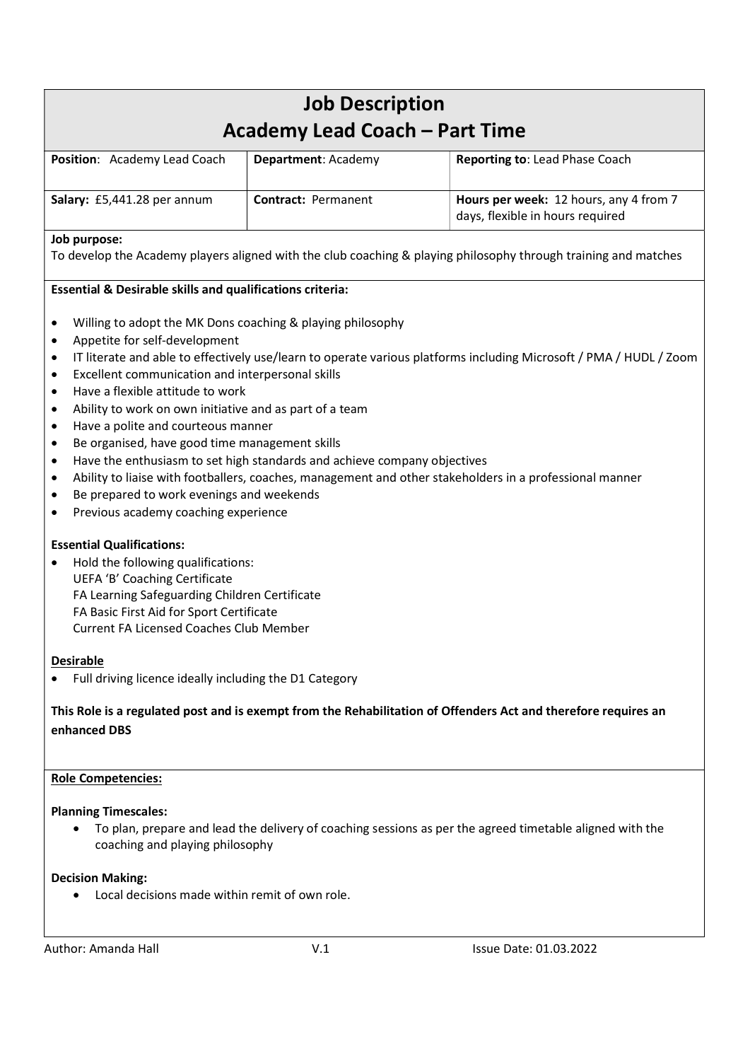| <b>Job Description</b><br>Academy Lead Coach – Part Time |                            |                                                                            |
|----------------------------------------------------------|----------------------------|----------------------------------------------------------------------------|
| Position: Academy Lead Coach                             | Department: Academy        | Reporting to: Lead Phase Coach                                             |
| Salary: £5,441.28 per annum                              | <b>Contract: Permanent</b> | Hours per week: 12 hours, any 4 from 7<br>days, flexible in hours required |

# Job purpose:

To develop the Academy players aligned with the club coaching & playing philosophy through training and matches

# Essential & Desirable skills and qualifications criteria:

- Willing to adopt the MK Dons coaching & playing philosophy
- Appetite for self-development
- IT literate and able to effectively use/learn to operate various platforms including Microsoft / PMA / HUDL / Zoom
- Excellent communication and interpersonal skills
- Have a flexible attitude to work
- Ability to work on own initiative and as part of a team
- Have a polite and courteous manner
- Be organised, have good time management skills
- Have the enthusiasm to set high standards and achieve company objectives
- Ability to liaise with footballers, coaches, management and other stakeholders in a professional manner
- Be prepared to work evenings and weekends
- Previous academy coaching experience

# Essential Qualifications:

• Hold the following qualifications: UEFA 'B' Coaching Certificate FA Learning Safeguarding Children Certificate FA Basic First Aid for Sport Certificate Current FA Licensed Coaches Club Member

# Desirable

Full driving licence ideally including the D1 Category

# This Role is a regulated post and is exempt from the Rehabilitation of Offenders Act and therefore requires an enhanced DBS

### Role Competencies:

### Planning Timescales:

 To plan, prepare and lead the delivery of coaching sessions as per the agreed timetable aligned with the coaching and playing philosophy

# Decision Making:

Local decisions made within remit of own role.